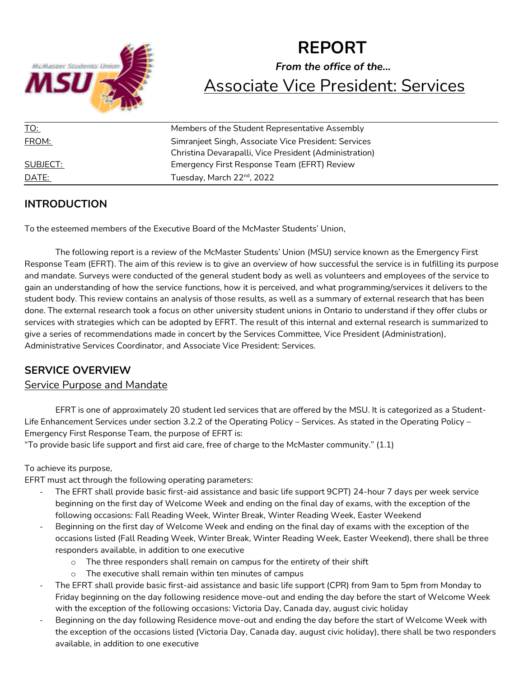

# **REPORT** *From the office of the…* Associate Vice President: Services

| Members of the Student Representative Assembly         |
|--------------------------------------------------------|
| Simranjeet Singh, Associate Vice President: Services   |
| Christina Devarapalli, Vice President (Administration) |
| Emergency First Response Team (EFRT) Review            |
| Tuesday, March 22 <sup>nd</sup> , 2022                 |
|                                                        |

# **INTRODUCTION**

To the esteemed members of the Executive Board of the McMaster Students' Union,

The following report is a review of the McMaster Students' Union (MSU) service known as the Emergency First Response Team (EFRT). The aim of this review is to give an overview of how successful the service is in fulfilling its purpose and mandate. Surveys were conducted of the general student body as well as volunteers and employees of the service to gain an understanding of how the service functions, how it is perceived, and what programming/services it delivers to the student body. This review contains an analysis of those results, as well as a summary of external research that has been done. The external research took a focus on other university student unions in Ontario to understand if they offer clubs or services with strategies which can be adopted by EFRT. The result of this internal and external research is summarized to give a series of recommendations made in concert by the Services Committee, Vice President (Administration), Administrative Services Coordinator, and Associate Vice President: Services.

# **SERVICE OVERVIEW**

# Service Purpose and Mandate

EFRT is one of approximately 20 student led services that are offered by the MSU. It is categorized as a Student-Life Enhancement Services under section 3.2.2 of the Operating Policy – Services. As stated in the Operating Policy – Emergency First Response Team, the purpose of EFRT is:

"To provide basic life support and first aid care, free of charge to the McMaster community." (1.1)

### To achieve its purpose,

EFRT must act through the following operating parameters:

- The EFRT shall provide basic first-aid assistance and basic life support 9CPT) 24-hour 7 days per week service beginning on the first day of Welcome Week and ending on the final day of exams, with the exception of the following occasions: Fall Reading Week, Winter Break, Winter Reading Week, Easter Weekend
- Beginning on the first day of Welcome Week and ending on the final day of exams with the exception of the occasions listed (Fall Reading Week, Winter Break, Winter Reading Week, Easter Weekend), there shall be three responders available, in addition to one executive
	- o The three responders shall remain on campus for the entirety of their shift
	- o The executive shall remain within ten minutes of campus
- The EFRT shall provide basic first-aid assistance and basic life support (CPR) from 9am to 5pm from Monday to Friday beginning on the day following residence move-out and ending the day before the start of Welcome Week with the exception of the following occasions: Victoria Day, Canada day, august civic holiday
- Beginning on the day following Residence move-out and ending the day before the start of Welcome Week with the exception of the occasions listed (Victoria Day, Canada day, august civic holiday), there shall be two responders available, in addition to one executive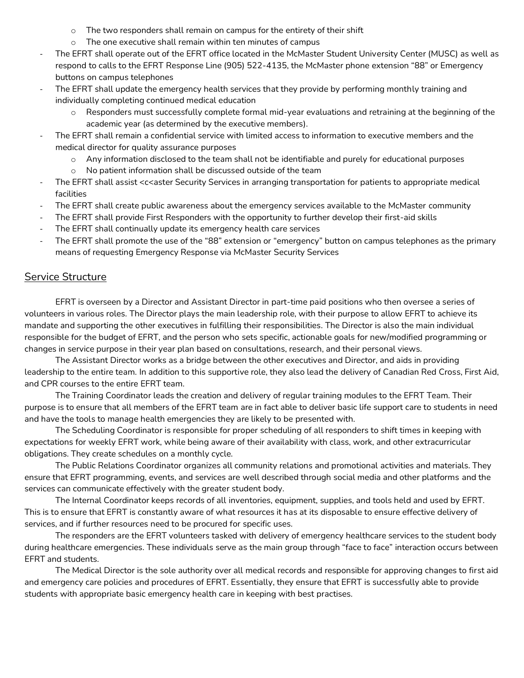- o The two responders shall remain on campus for the entirety of their shift
- o The one executive shall remain within ten minutes of campus
- The EFRT shall operate out of the EFRT office located in the McMaster Student University Center (MUSC) as well as respond to calls to the EFRT Response Line (905) 522-4135, the McMaster phone extension "88" or Emergency buttons on campus telephones
- The EFRT shall update the emergency health services that they provide by performing monthly training and individually completing continued medical education
	- o Responders must successfully complete formal mid-year evaluations and retraining at the beginning of the academic year (as determined by the executive members).
- The EFRT shall remain a confidential service with limited access to information to executive members and the medical director for quality assurance purposes
	- o Any information disclosed to the team shall not be identifiable and purely for educational purposes
	- o No patient information shall be discussed outside of the team
- The EFRT shall assist <c<aster Security Services in arranging transportation for patients to appropriate medical facilities
- The EFRT shall create public awareness about the emergency services available to the McMaster community
- The EFRT shall provide First Responders with the opportunity to further develop their first-aid skills
- The EFRT shall continually update its emergency health care services
- The EFRT shall promote the use of the "88" extension or "emergency" button on campus telephones as the primary means of requesting Emergency Response via McMaster Security Services

# Service Structure

EFRT is overseen by a Director and Assistant Director in part-time paid positions who then oversee a series of volunteers in various roles. The Director plays the main leadership role, with their purpose to allow EFRT to achieve its mandate and supporting the other executives in fulfilling their responsibilities. The Director is also the main individual responsible for the budget of EFRT, and the person who sets specific, actionable goals for new/modified programming or changes in service purpose in their year plan based on consultations, research, and their personal views.

The Assistant Director works as a bridge between the other executives and Director, and aids in providing leadership to the entire team. In addition to this supportive role, they also lead the delivery of Canadian Red Cross, First Aid, and CPR courses to the entire EFRT team.

The Training Coordinator leads the creation and delivery of regular training modules to the EFRT Team. Their purpose is to ensure that all members of the EFRT team are in fact able to deliver basic life support care to students in need and have the tools to manage health emergencies they are likely to be presented with.

The Scheduling Coordinator is responsible for proper scheduling of all responders to shift times in keeping with expectations for weekly EFRT work, while being aware of their availability with class, work, and other extracurricular obligations. They create schedules on a monthly cycle.

The Public Relations Coordinator organizes all community relations and promotional activities and materials. They ensure that EFRT programming, events, and services are well described through social media and other platforms and the services can communicate effectively with the greater student body.

The Internal Coordinator keeps records of all inventories, equipment, supplies, and tools held and used by EFRT. This is to ensure that EFRT is constantly aware of what resources it has at its disposable to ensure effective delivery of services, and if further resources need to be procured for specific uses.

The responders are the EFRT volunteers tasked with delivery of emergency healthcare services to the student body during healthcare emergencies. These individuals serve as the main group through "face to face" interaction occurs between EFRT and students.

The Medical Director is the sole authority over all medical records and responsible for approving changes to first aid and emergency care policies and procedures of EFRT. Essentially, they ensure that EFRT is successfully able to provide students with appropriate basic emergency health care in keeping with best practises.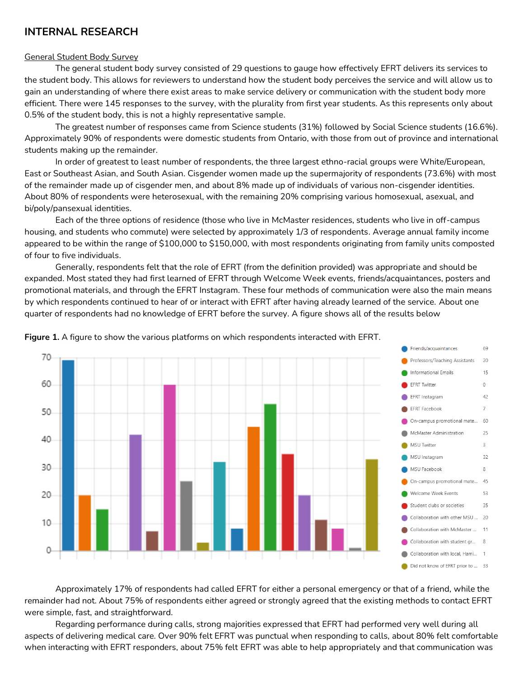# **INTERNAL RESEARCH**

#### General Student Body Survey

The general student body survey consisted of 29 questions to gauge how effectively EFRT delivers its services to the student body. This allows for reviewers to understand how the student body perceives the service and will allow us to gain an understanding of where there exist areas to make service delivery or communication with the student body more efficient. There were 145 responses to the survey, with the plurality from first year students. As this represents only about 0.5% of the student body, this is not a highly representative sample.

The greatest number of responses came from Science students (31%) followed by Social Science students (16.6%). Approximately 90% of respondents were domestic students from Ontario, with those from out of province and international students making up the remainder.

In order of greatest to least number of respondents, the three largest ethno-racial groups were White/European, East or Southeast Asian, and South Asian. Cisgender women made up the supermajority of respondents (73.6%) with most of the remainder made up of cisgender men, and about 8% made up of individuals of various non-cisgender identities. About 80% of respondents were heterosexual, with the remaining 20% comprising various homosexual, asexual, and bi/poly/pansexual identities.

Each of the three options of residence (those who live in McMaster residences, students who live in off-campus housing, and students who commute) were selected by approximately 1/3 of respondents. Average annual family income appeared to be within the range of \$100,000 to \$150,000, with most respondents originating from family units composted of four to five individuals.

Generally, respondents felt that the role of EFRT (from the definition provided) was appropriate and should be expanded. Most stated they had first learned of EFRT through Welcome Week events, friends/acquaintances, posters and promotional materials, and through the EFRT Instagram. These four methods of communication were also the main means by which respondents continued to hear of or interact with EFRT after having already learned of the service. About one quarter of respondents had no knowledge of EFRT before the survey. A figure shows all of the results below



**Figure 1.** A figure to show the various platforms on which respondents interacted with EFRT.

Approximately 17% of respondents had called EFRT for either a personal emergency or that of a friend, while the remainder had not. About 75% of respondents either agreed or strongly agreed that the existing methods to contact EFRT were simple, fast, and straightforward.

Regarding performance during calls, strong majorities expressed that EFRT had performed very well during all aspects of delivering medical care. Over 90% felt EFRT was punctual when responding to calls, about 80% felt comfortable when interacting with EFRT responders, about 75% felt EFRT was able to help appropriately and that communication was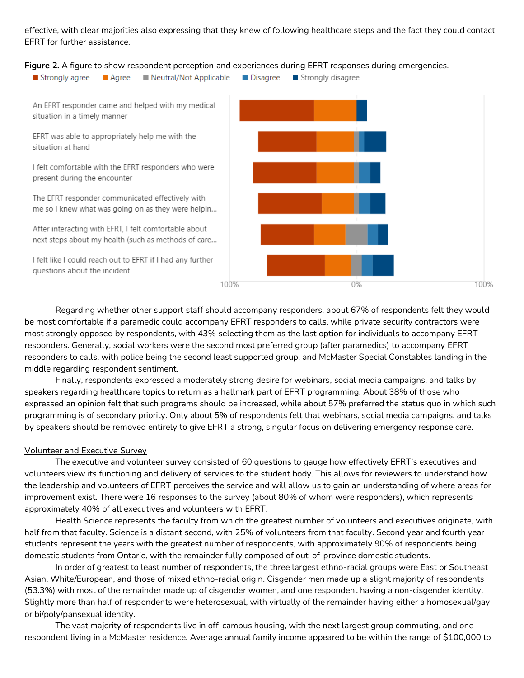effective, with clear majorities also expressing that they knew of following healthcare steps and the fact they could contact EFRT for further assistance.

#### **Figure 2.** A figure to show respondent perception and experiences during EFRT responses during emergencies.



Regarding whether other support staff should accompany responders, about 67% of respondents felt they would be most comfortable if a paramedic could accompany EFRT responders to calls, while private security contractors were most strongly opposed by respondents, with 43% selecting them as the last option for individuals to accompany EFRT responders. Generally, social workers were the second most preferred group (after paramedics) to accompany EFRT responders to calls, with police being the second least supported group, and McMaster Special Constables landing in the middle regarding respondent sentiment.

Finally, respondents expressed a moderately strong desire for webinars, social media campaigns, and talks by speakers regarding healthcare topics to return as a hallmark part of EFRT programming. About 38% of those who expressed an opinion felt that such programs should be increased, while about 57% preferred the status quo in which such programming is of secondary priority. Only about 5% of respondents felt that webinars, social media campaigns, and talks by speakers should be removed entirely to give EFRT a strong, singular focus on delivering emergency response care.

#### Volunteer and Executive Survey

The executive and volunteer survey consisted of 60 questions to gauge how effectively EFRT's executives and volunteers view its functioning and delivery of services to the student body. This allows for reviewers to understand how the leadership and volunteers of EFRT perceives the service and will allow us to gain an understanding of where areas for improvement exist. There were 16 responses to the survey (about 80% of whom were responders), which represents approximately 40% of all executives and volunteers with EFRT.

Health Science represents the faculty from which the greatest number of volunteers and executives originate, with half from that faculty. Science is a distant second, with 25% of volunteers from that faculty. Second year and fourth year students represent the years with the greatest number of respondents, with approximately 90% of respondents being domestic students from Ontario, with the remainder fully composed of out-of-province domestic students.

In order of greatest to least number of respondents, the three largest ethno-racial groups were East or Southeast Asian, White/European, and those of mixed ethno-racial origin. Cisgender men made up a slight majority of respondents (53.3%) with most of the remainder made up of cisgender women, and one respondent having a non-cisgender identity. Slightly more than half of respondents were heterosexual, with virtually of the remainder having either a homosexual/gay or bi/poly/pansexual identity.

The vast majority of respondents live in off-campus housing, with the next largest group commuting, and one respondent living in a McMaster residence. Average annual family income appeared to be within the range of \$100,000 to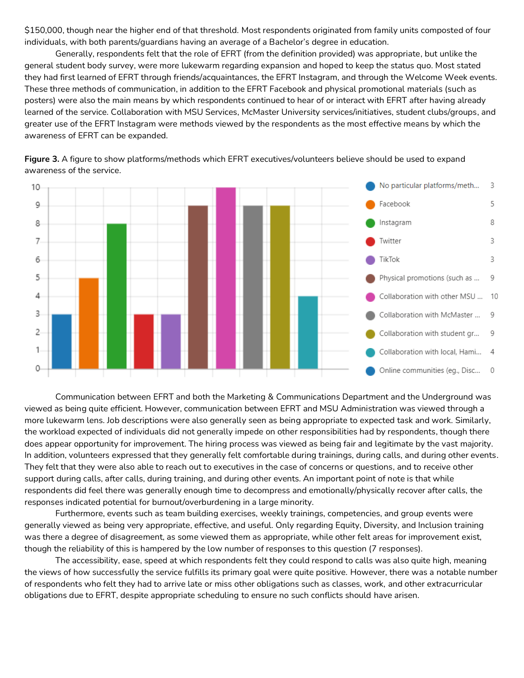\$150,000, though near the higher end of that threshold. Most respondents originated from family units composted of four individuals, with both parents/guardians having an average of a Bachelor's degree in education.

Generally, respondents felt that the role of EFRT (from the definition provided) was appropriate, but unlike the general student body survey, were more lukewarm regarding expansion and hoped to keep the status quo. Most stated they had first learned of EFRT through friends/acquaintances, the EFRT Instagram, and through the Welcome Week events. These three methods of communication, in addition to the EFRT Facebook and physical promotional materials (such as posters) were also the main means by which respondents continued to hear of or interact with EFRT after having already learned of the service. Collaboration with MSU Services, McMaster University services/initiatives, student clubs/groups, and greater use of the EFRT Instagram were methods viewed by the respondents as the most effective means by which the awareness of EFRT can be expanded.



**Figure 3.** A figure to show platforms/methods which EFRT executives/volunteers believe should be used to expand awareness of the service.

Communication between EFRT and both the Marketing & Communications Department and the Underground was viewed as being quite efficient. However, communication between EFRT and MSU Administration was viewed through a more lukewarm lens. Job descriptions were also generally seen as being appropriate to expected task and work. Similarly, the workload expected of individuals did not generally impede on other responsibilities had by respondents, though there does appear opportunity for improvement. The hiring process was viewed as being fair and legitimate by the vast majority. In addition, volunteers expressed that they generally felt comfortable during trainings, during calls, and during other events. They felt that they were also able to reach out to executives in the case of concerns or questions, and to receive other support during calls, after calls, during training, and during other events. An important point of note is that while respondents did feel there was generally enough time to decompress and emotionally/physically recover after calls, the responses indicated potential for burnout/overburdening in a large minority.

Furthermore, events such as team building exercises, weekly trainings, competencies, and group events were generally viewed as being very appropriate, effective, and useful. Only regarding Equity, Diversity, and Inclusion training was there a degree of disagreement, as some viewed them as appropriate, while other felt areas for improvement exist, though the reliability of this is hampered by the low number of responses to this question (7 responses).

The accessibility, ease, speed at which respondents felt they could respond to calls was also quite high, meaning the views of how successfully the service fulfills its primary goal were quite positive. However, there was a notable number of respondents who felt they had to arrive late or miss other obligations such as classes, work, and other extracurricular obligations due to EFRT, despite appropriate scheduling to ensure no such conflicts should have arisen.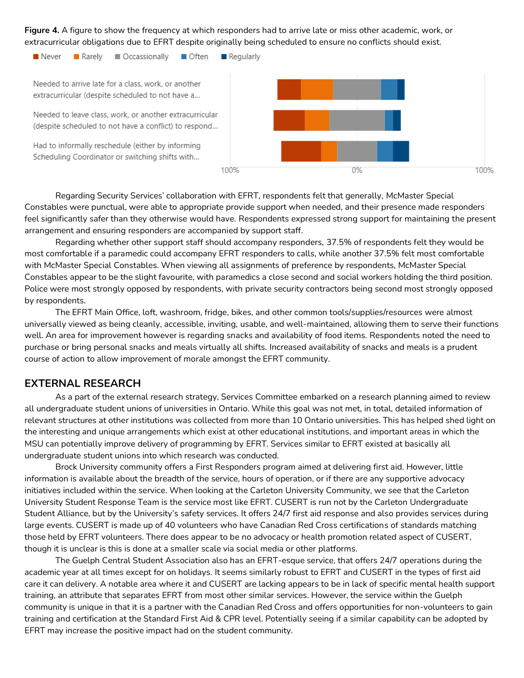**Figure 4.** A figure to show the frequency at which responders had to arrive late or miss other academic, work, or extracurricular obligations due to EFRT despite originally being scheduled to ensure no conflicts should exist.

Never **Rarely** Occassionally ■ Often  $\blacksquare$  Regularly Needed to arrive late for a class, work, or another extracurricular (despite scheduled to not have a... Needed to leave class, work, or another extracurricular (despite scheduled to not have a conflict) to respond... Had to informally reschedule (either by informing Scheduling Coordinator or switching shifts with...

100%

Regarding Security Services' collaboration with EFRT, respondents felt that generally, McMaster Special Constables were punctual, were able to appropriate provide support when needed, and their presence made responders feel significantly safer than they otherwise would have. Respondents expressed strong support for maintaining the present arrangement and ensuring responders are accompanied by support staff.

0%

100%

Regarding whether other support staff should accompany responders, 37.5% of respondents felt they would be most comfortable if a paramedic could accompany EFRT responders to calls, while another 37.5% felt most comfortable with McMaster Special Constables. When viewing all assignments of preference by respondents, McMaster Special Constables appear to be the slight favourite, with paramedics a close second and social workers holding the third position. Police were most strongly opposed by respondents, with private security contractors being second most strongly opposed by respondents.

The EFRT Main Office, loft, washroom, fridge, bikes, and other common tools/supplies/resources were almost universally viewed as being cleanly, accessible, inviting, usable, and well-maintained, allowing them to serve their functions well. An area for improvement however is regarding snacks and availability of food items. Respondents noted the need to purchase or bring personal snacks and meals virtually all shifts. Increased availability of snacks and meals is a prudent course of action to allow improvement of morale amongst the EFRT community.

### **EXTERNAL RESEARCH**

As a part of the external research strategy, Services Committee embarked on a research planning aimed to review all undergraduate student unions of universities in Ontario. While this goal was not met, in total, detailed information of relevant structures at other institutions was collected from more than 10 Ontario universities. This has helped shed light on the interesting and unique arrangements which exist at other educational institutions, and important areas in which the MSU can potentially improve delivery of programming by EFRT. Services similar to EFRT existed at basically all undergraduate student unions into which research was conducted.

Brock University community offers a First Responders program aimed at delivering first aid. However, little information is available about the breadth of the service, hours of operation, or if there are any supportive advocacy initiatives included within the service. When looking at the Carleton University Community, we see that the Carleton University Student Response Team is the service most like EFRT. CUSERT is run not by the Carleton Undergraduate Student Alliance, but by the University's safety services. It offers 24/7 first aid response and also provides services during large events. CUSERT is made up of 40 volunteers who have Canadian Red Cross certifications of standards matching those held by EFRT volunteers. There does appear to be no advocacy or health promotion related aspect of CUSERT, though it is unclear is this is done at a smaller scale via social media or other platforms.

The Guelph Central Student Association also has an EFRT-esque service, that offers 24/7 operations during the academic year at all times except for on holidays. It seems similarly robust to EFRT and CUSERT in the types of first aid care it can delivery. A notable area where it and CUSERT are lacking appears to be in lack of specific mental health support training, an attribute that separates EFRT from most other similar services. However, the service within the Guelph community is unique in that it is a partner with the Canadian Red Cross and offers opportunities for non-volunteers to gain training and certification at the Standard First Aid & CPR level. Potentially seeing if a similar capability can be adopted by EFRT may increase the positive impact had on the student community.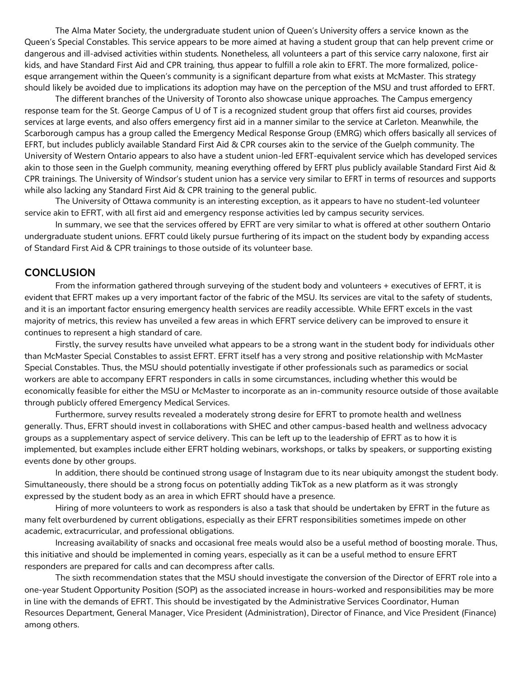The Alma Mater Society, the undergraduate student union of Queen's University offers a service known as the Queen's Special Constables. This service appears to be more aimed at having a student group that can help prevent crime or dangerous and ill-advised activities within students. Nonetheless, all volunteers a part of this service carry naloxone, first air kids, and have Standard First Aid and CPR training, thus appear to fulfill a role akin to EFRT. The more formalized, policeesque arrangement within the Queen's community is a significant departure from what exists at McMaster. This strategy should likely be avoided due to implications its adoption may have on the perception of the MSU and trust afforded to EFRT.

The different branches of the University of Toronto also showcase unique approaches. The Campus emergency response team for the St. George Campus of U of T is a recognized student group that offers first aid courses, provides services at large events, and also offers emergency first aid in a manner similar to the service at Carleton. Meanwhile, the Scarborough campus has a group called the Emergency Medical Response Group (EMRG) which offers basically all services of EFRT, but includes publicly available Standard First Aid & CPR courses akin to the service of the Guelph community. The University of Western Ontario appears to also have a student union-led EFRT-equivalent service which has developed services akin to those seen in the Guelph community, meaning everything offered by EFRT plus publicly available Standard First Aid & CPR trainings. The University of Windsor's student union has a service very similar to EFRT in terms of resources and supports while also lacking any Standard First Aid & CPR training to the general public.

The University of Ottawa community is an interesting exception, as it appears to have no student-led volunteer service akin to EFRT, with all first aid and emergency response activities led by campus security services.

In summary, we see that the services offered by EFRT are very similar to what is offered at other southern Ontario undergraduate student unions. EFRT could likely pursue furthering of its impact on the student body by expanding access of Standard First Aid & CPR trainings to those outside of its volunteer base.

### **CONCLUSION**

From the information gathered through surveying of the student body and volunteers + executives of EFRT, it is evident that EFRT makes up a very important factor of the fabric of the MSU. Its services are vital to the safety of students, and it is an important factor ensuring emergency health services are readily accessible. While EFRT excels in the vast majority of metrics, this review has unveiled a few areas in which EFRT service delivery can be improved to ensure it continues to represent a high standard of care.

Firstly, the survey results have unveiled what appears to be a strong want in the student body for individuals other than McMaster Special Constables to assist EFRT. EFRT itself has a very strong and positive relationship with McMaster Special Constables. Thus, the MSU should potentially investigate if other professionals such as paramedics or social workers are able to accompany EFRT responders in calls in some circumstances, including whether this would be economically feasible for either the MSU or McMaster to incorporate as an in-community resource outside of those available through publicly offered Emergency Medical Services.

Furthermore, survey results revealed a moderately strong desire for EFRT to promote health and wellness generally. Thus, EFRT should invest in collaborations with SHEC and other campus-based health and wellness advocacy groups as a supplementary aspect of service delivery. This can be left up to the leadership of EFRT as to how it is implemented, but examples include either EFRT holding webinars, workshops, or talks by speakers, or supporting existing events done by other groups.

In addition, there should be continued strong usage of Instagram due to its near ubiquity amongst the student body. Simultaneously, there should be a strong focus on potentially adding TikTok as a new platform as it was strongly expressed by the student body as an area in which EFRT should have a presence.

Hiring of more volunteers to work as responders is also a task that should be undertaken by EFRT in the future as many felt overburdened by current obligations, especially as their EFRT responsibilities sometimes impede on other academic, extracurricular, and professional obligations.

Increasing availability of snacks and occasional free meals would also be a useful method of boosting morale. Thus, this initiative and should be implemented in coming years, especially as it can be a useful method to ensure EFRT responders are prepared for calls and can decompress after calls.

The sixth recommendation states that the MSU should investigate the conversion of the Director of EFRT role into a one-year Student Opportunity Position (SOP) as the associated increase in hours-worked and responsibilities may be more in line with the demands of EFRT. This should be investigated by the Administrative Services Coordinator, Human Resources Department, General Manager, Vice President (Administration), Director of Finance, and Vice President (Finance) among others.